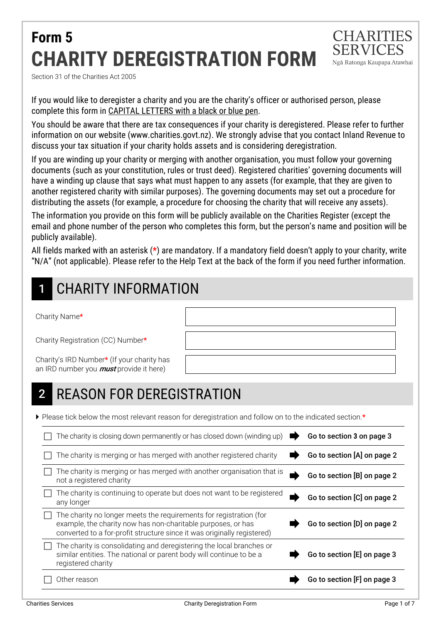# **Form 5 CHARITY DEREGISTRATION FORM**



Section 31 of the Charities Act 2005

If you would like to deregister a charity and you are the charity's officer or authorised person, please complete this form in CAPITAL LETTERS with a black or blue pen.

You should be aware that there are tax consequences if your charity is deregistered. Please refer to further information on our website (www.charities.govt.nz). We strongly advise that you contact Inland Revenue to discuss your tax situation if your charity holds assets and is considering deregistration.

If you are winding up your charity or merging with another organisation, you must follow your governing documents (such as your constitution, rules or trust deed). Registered charities' governing documents will have a winding up clause that says what must happen to any assets (for example, that they are given to another registered charity with similar purposes). The governing documents may set out a procedure for distributing the assets (for example, a procedure for choosing the charity that will receive any assets).

The information you provide on this form will be publicly available on the Charities Register (except the email and phone number of the person who completes this form, but the person's name and position will be publicly available).

All fields marked with an asterisk (**\***) are mandatory. If a mandatory field doesn't apply to your charity, write "N/A" (not applicable). Please refer to the Help Text at the back of the form if you need further information.

# CHARITY INFORMATION

Charity Name\*

Charity Registration (CC) Number\*

Charity's IRD Number\* (If your charity has an IRD number you **must** provide it here)

# 2 REASON FOR DEREGISTRATION

Please tick below the most relevant reason for deregistration and follow on to the indicated section.\*

| The charity is closing down permanently or has closed down (winding up)                                                                                                                                       | Go to section 3 on page 3   |
|---------------------------------------------------------------------------------------------------------------------------------------------------------------------------------------------------------------|-----------------------------|
| The charity is merging or has merged with another registered charity                                                                                                                                          | Go to section [A] on page 2 |
| The charity is merging or has merged with another organisation that is<br>not a registered charity                                                                                                            | Go to section [B] on page 2 |
| The charity is continuing to operate but does not want to be registered<br>any longer                                                                                                                         | Go to section [C] on page 2 |
| The charity no longer meets the requirements for registration (for<br>example, the charity now has non-charitable purposes, or has<br>converted to a for-profit structure since it was originally registered) | Go to section [D] on page 2 |
| The charity is consolidating and deregistering the local branches or<br>similar entities. The national or parent body will continue to be a<br>registered charity                                             | Go to section [E] on page 3 |
| Other reason                                                                                                                                                                                                  | Go to section [F] on page 3 |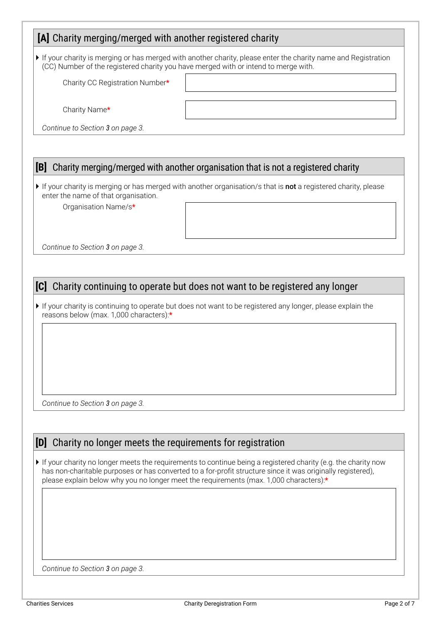### **[A]** Charity merging/merged with another registered charity

 If your charity is merging or has merged with another charity, please enter the charity name and Registration (CC) Number of the registered charity you have merged with or intend to merge with.

Charity CC Registration Number\*

Charity Name\*

*Continue to Section 3 on page 3.* 

### **[B]** Charity merging/merged with another organisation that is not a registered charity

If your charity is merging or has merged with another organisation/s that is not a registered charity, please enter the name of that organisation.

Organisation Name/s\*

*Continue to Section 3 on page 3.* 

### **[C]** Charity continuing to operate but does not want to be registered any longer

If your charity is continuing to operate but does not want to be registered any longer, please explain the reasons below (max. 1,000 characters):\*

*Continue to Section 3 on page 3.* 

### **[D]** Charity no longer meets the requirements for registration

If your charity no longer meets the requirements to continue being a registered charity (e.g. the charity now has non-charitable purposes or has converted to a for-profit structure since it was originally registered), please explain below why you no longer meet the requirements (max. 1,000 characters):\*

*Continue to Section 3 on page 3.*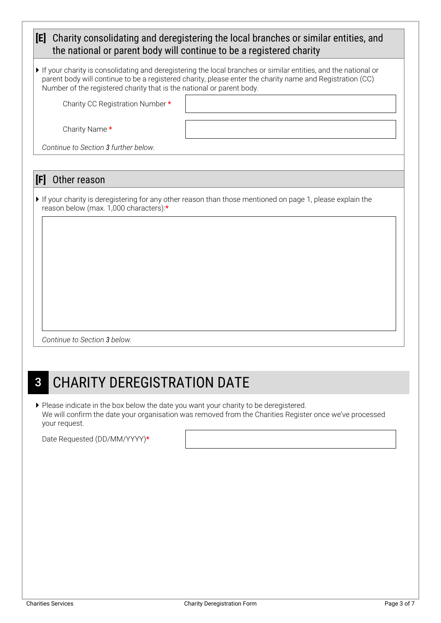| [E]<br>Charity consolidating and deregistering the local branches or similar entities, and<br>the national or parent body will continue to be a registered charity        |                                                                                                                                                                                                                             |  |  |  |  |
|---------------------------------------------------------------------------------------------------------------------------------------------------------------------------|-----------------------------------------------------------------------------------------------------------------------------------------------------------------------------------------------------------------------------|--|--|--|--|
| Number of the registered charity that is the national or parent body.                                                                                                     | If your charity is consolidating and deregistering the local branches or similar entities, and the national or<br>parent body will continue to be a registered charity, please enter the charity name and Registration (CC) |  |  |  |  |
| Charity CC Registration Number *<br>Charity Name *                                                                                                                        |                                                                                                                                                                                                                             |  |  |  |  |
| Continue to Section 3 further below.                                                                                                                                      |                                                                                                                                                                                                                             |  |  |  |  |
|                                                                                                                                                                           |                                                                                                                                                                                                                             |  |  |  |  |
| [F]<br>Other reason<br>If your charity is deregistering for any other reason than those mentioned on page 1, please explain the<br>reason below (max. 1,000 characters) * |                                                                                                                                                                                                                             |  |  |  |  |
| Continue to Section 3 below.                                                                                                                                              |                                                                                                                                                                                                                             |  |  |  |  |

# **3 CHARITY DEREGISTRATION DATE**

Please indicate in the box below the date you want your charity to be deregistered. We will confirm the date your organisation was removed from the Charities Register once we've processed your request.

Date Requested (DD/MM/YYYY)\*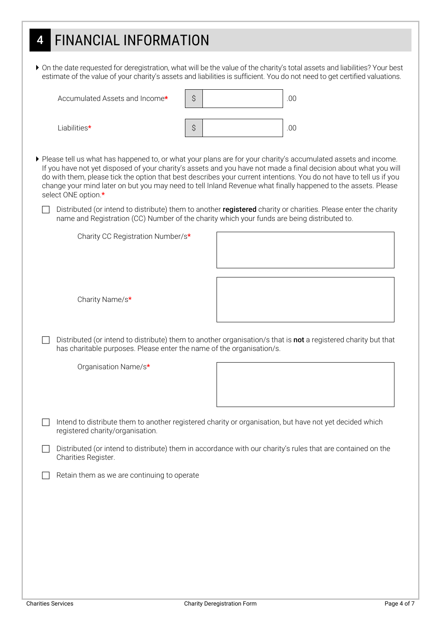# 4 FINANCIAL INFORMATION

 On the date requested for deregistration, what will be the value of the charity's total assets and liabilities? Your best estimate of the value of your charity's assets and liabilities is sufficient. You do not need to get certified valuations.

|                                                                                                                                                                                         | Accumulated Assets and Income*                                                                                                                                                                                                                                                                                                                                                                                                                                                                     | Ş  |  |  | .00 |  |  |
|-----------------------------------------------------------------------------------------------------------------------------------------------------------------------------------------|----------------------------------------------------------------------------------------------------------------------------------------------------------------------------------------------------------------------------------------------------------------------------------------------------------------------------------------------------------------------------------------------------------------------------------------------------------------------------------------------------|----|--|--|-----|--|--|
|                                                                                                                                                                                         | Liabilities*                                                                                                                                                                                                                                                                                                                                                                                                                                                                                       | \$ |  |  | .00 |  |  |
|                                                                                                                                                                                         | ▶ Please tell us what has happened to, or what your plans are for your charity's accumulated assets and income.<br>If you have not yet disposed of your charity's assets and you have not made a final decision about what you will<br>do with them, please tick the option that best describes your current intentions. You do not have to tell us if you<br>change your mind later on but you may need to tell Inland Revenue what finally happened to the assets. Please<br>select ONE option.* |    |  |  |     |  |  |
|                                                                                                                                                                                         | Distributed (or intend to distribute) them to another registered charity or charities. Please enter the charity<br>name and Registration (CC) Number of the charity which your funds are being distributed to.                                                                                                                                                                                                                                                                                     |    |  |  |     |  |  |
|                                                                                                                                                                                         | Charity CC Registration Number/s*                                                                                                                                                                                                                                                                                                                                                                                                                                                                  |    |  |  |     |  |  |
|                                                                                                                                                                                         | Charity Name/s*                                                                                                                                                                                                                                                                                                                                                                                                                                                                                    |    |  |  |     |  |  |
| Distributed (or intend to distribute) them to another organisation/s that is not a registered charity but that<br>has charitable purposes. Please enter the name of the organisation/s. |                                                                                                                                                                                                                                                                                                                                                                                                                                                                                                    |    |  |  |     |  |  |
|                                                                                                                                                                                         | Organisation Name/s*                                                                                                                                                                                                                                                                                                                                                                                                                                                                               |    |  |  |     |  |  |
|                                                                                                                                                                                         | Intend to distribute them to another registered charity or organisation, but have not yet decided which<br>registered charity/organisation.                                                                                                                                                                                                                                                                                                                                                        |    |  |  |     |  |  |
|                                                                                                                                                                                         | Distributed (or intend to distribute) them in accordance with our charity's rules that are contained on the<br>Charities Register.                                                                                                                                                                                                                                                                                                                                                                 |    |  |  |     |  |  |
|                                                                                                                                                                                         | Retain them as we are continuing to operate                                                                                                                                                                                                                                                                                                                                                                                                                                                        |    |  |  |     |  |  |
|                                                                                                                                                                                         |                                                                                                                                                                                                                                                                                                                                                                                                                                                                                                    |    |  |  |     |  |  |
|                                                                                                                                                                                         |                                                                                                                                                                                                                                                                                                                                                                                                                                                                                                    |    |  |  |     |  |  |
|                                                                                                                                                                                         |                                                                                                                                                                                                                                                                                                                                                                                                                                                                                                    |    |  |  |     |  |  |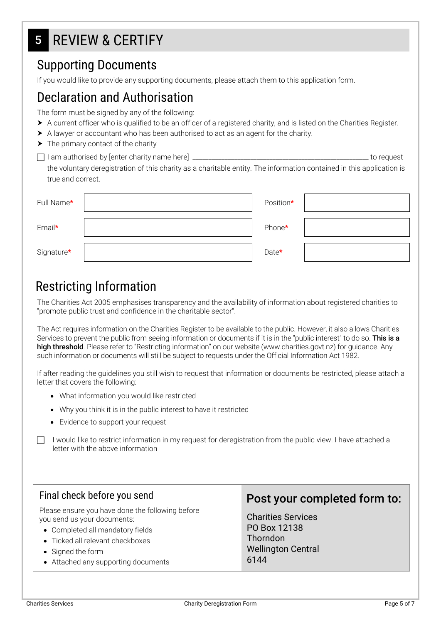# 5 REVIEW & CERTIFY

## Supporting Documents

If you would like to provide any supporting documents, please attach them to this application form.

## Declaration and Authorisation

The form must be signed by any of the following:

- A current officer who is qualified to be an officer of a registered charity, and is listed on the Charities Register.
- A lawyer or accountant who has been authorised to act as an agent for the charity.
- $\blacktriangleright$  The primary contact of the charity
- I am authorised by [enter charity name here] \_\_\_\_\_\_\_\_\_\_\_\_\_\_\_\_\_\_\_\_\_\_\_\_\_\_\_\_\_\_\_\_\_\_\_\_\_\_\_\_\_\_\_\_\_\_\_\_\_\_\_\_\_\_\_ to request

the voluntary deregistration of this charity as a charitable entity. The information contained in this application is true and correct.

| Full Name* | Position* |  |
|------------|-----------|--|
| Email*     | Phone*    |  |
| Signature* | Date*     |  |

## Restricting Information

The Charities Act 2005 emphasises transparency and the availability of information about registered charities to "promote public trust and confidence in the charitable sector".

The Act requires information on the Charities Register to be available to the public. However, it also allows Charities Services to prevent the public from seeing information or documents if it is in the "public interest" to do so. This is a high threshold. Please refer to "Restricting information" on our website (www.charities.govt.nz) for quidance. Any such information or documents will still be subject to requests under the Official Information Act 1982.

If after reading the guidelines you still wish to request that information or documents be restricted, please attach a letter that covers the following:

- What information you would like restricted
- Why you think it is in the public interest to have it restricted
- Evidence to support your request

I would like to restrict information in my request for deregistration from the public view. I have attached a letter with the above information

### Final check before you send

Please ensure you have done the following before you send us your documents:

- Completed all mandatory fields
- Ticked all relevant checkboxes
- Signed the form
- Attached any supporting documents

### Post your completed form to:

Charities Services PO Box 12138 Thorndon Wellington Central 6144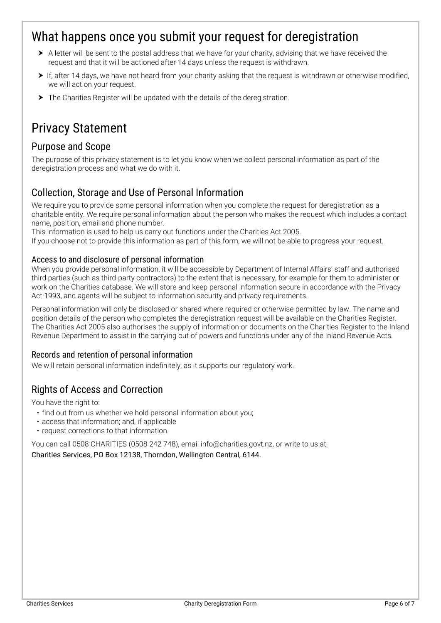## What happens once you submit your request for deregistration

- A letter will be sent to the postal address that we have for your charity, advising that we have received the request and that it will be actioned after 14 days unless the request is withdrawn.
- $\triangleright$  If, after 14 days, we have not heard from your charity asking that the request is withdrawn or otherwise modified, we will action your request.
- The Charities Register will be updated with the details of the deregistration.

## Privacy Statement

### Purpose and Scope

The purpose of this privacy statement is to let you know when we collect personal information as part of the deregistration process and what we do with it.

### Collection, Storage and Use of Personal Information

We require you to provide some personal information when you complete the request for deregistration as a charitable entity. We require personal information about the person who makes the request which includes a contact name, position, email and phone number.

This information is used to help us carry out functions under the Charities Act 2005.

If you choose not to provide this information as part of this form, we will not be able to progress your request.

### Access to and disclosure of personal information

When you provide personal information, it will be accessible by Department of Internal Affairs' staff and authorised third parties (such as third-party contractors) to the extent that is necessary, for example for them to administer or work on the Charities database. We will store and keep personal information secure in accordance with the Privacy Act 1993, and agents will be subject to information security and privacy requirements.

Personal information will only be disclosed or shared where required or otherwise permitted by law. The name and position details of the person who completes the deregistration request will be available on the Charities Register. The Charities Act 2005 also authorises the supply of information or documents on the Charities Register to the Inland Revenue Department to assist in the carrying out of powers and functions under any of the Inland Revenue Acts.

### Records and retention of personal information

We will retain personal information indefinitely, as it supports our regulatory work.

### Rights of Access and Correction

You have the right to:

- find out from us whether we hold personal information about you;
- access that information; and, if applicable
- request corrections to that information.

You can call 0508 CHARITIES (0508 242 748), email info@charities.govt.nz, or write to us at:

Charities Services, PO Box 12138, Thorndon, Wellington Central, 6144.